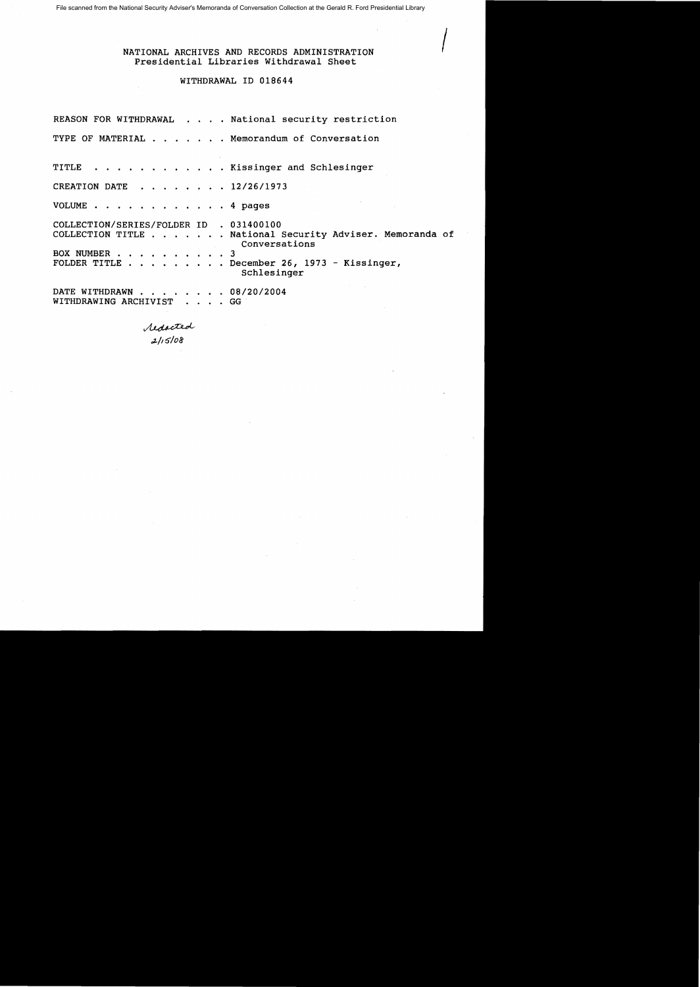File scanned from the National Security Adviser's Memoranda of Conversation Collection at the Gerald R. Ford Presidential Library

## NATIONAL ARCHIVES AND RECORDS ADMINISTRATION Presidential Libraries Withdrawal Sheet

## WITHDRAWAL ID 018644

REASON FOR WITHDRAWAL . . . . National security restriction TYPE OF MATERIAL . . . . . . Memorandum of Conversation TITLE . . . . . Kissinger and Schlesinger CREATION DATE . . . . . . 12/26/1973 VOLUME . . . . . . . . . . . . 4 pages COLLECTION/SERIES/FOLDER ID . 031400100 COLLECTION TITLE . . .. . National Security Adviser. Memoranda of Conversations BOX NUMBER . . . . . . . . . 3 FOLDER TITLE . . . . . . . . December 26, 1973 - Kissinger, Schlesinger DATE WITHDRAWN . . . . . . . 08/20/2004 WITHDRAWING ARCHIVIST . . . . GG

redacted<br>2/15/08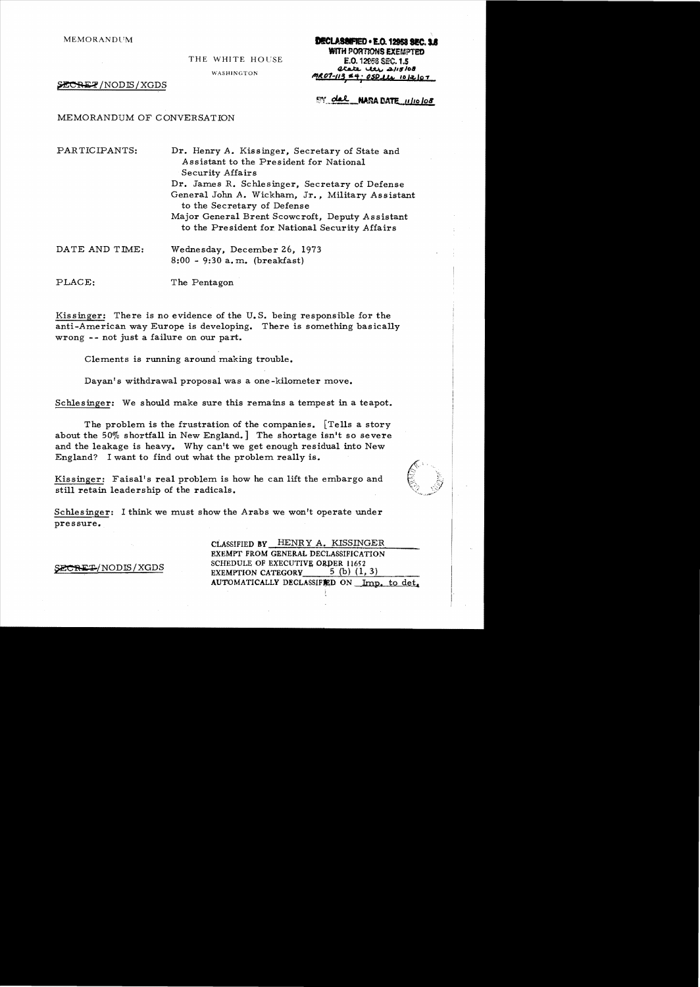# MEMORANDUM **DECLASSIFIED • E.G. 12953 SEC. 1.6 WITH PORTIONS EXEMPTED<br>E.O. 12958 SEC. 1.5**

THE WHITE HOUSE

 $\frac{a}{100}$  WASHINGTON  $\frac{a}{100}$  washington

**ECRET**/NODIS/XGDS **IIII, AND ALOT-113, 44; 050 LL 1012 101** 

EY del NARA DATE 11/10/08

MEMORANDUM OF CONVERSATION

PARTICIPANTS: Dr. Henry A. Kissinger, Secretary of State and Assistant to the President for National Security Affairs Dr. James R. Schlesinger, Secretary of Defense General John *A.* Wickham, Jr., Military Assistant to the Secretary of Defense Major General Brent Scowcroft, Deputy Assistant to the President for. National Security Affairs

DATE AND TIME: Wednesday, December 26, 1973 8:00 - 9:30 a. m. (breakfast)

PLACE: The Pentagon

Kissinger: There is no evidence of the U.S. being responsible for the anti-American way Europe is developing. There is something basically wrong -- not just a failure on our part.

Clements is running around making trouble.

Dayan's withdrawal proposal was a one -kilometer move.

Schlesinger: We should make sure this remains a tempest in a teapot.

The problem is the frustration of the companies. [Tells a story about the  $50\%$  shortfall in New England. The shortage isn't so severe and the leakage is heavy. Why can't we get enough residual into New England? I want to find out what the problem really is.

Kissinger: Faisa1's real problem is how he can lift the embargo and still retain leadership of the radicals.



Schlesinger: I think we must show the Arabs we won't operate under pressure.

CLASSIFIED BY HENR Y A. KISSINGER EXEMPT FROM GENERAL DECLASSIFICATION SECRET/NODIS/XGDS SCHEDULE OF EXECUTIVE ORDER 11652<br>EXEMPTION CATEGORY 5 (b) (1,3) AUTOMATICALLY DECLASSIFIED ON Imp. to det.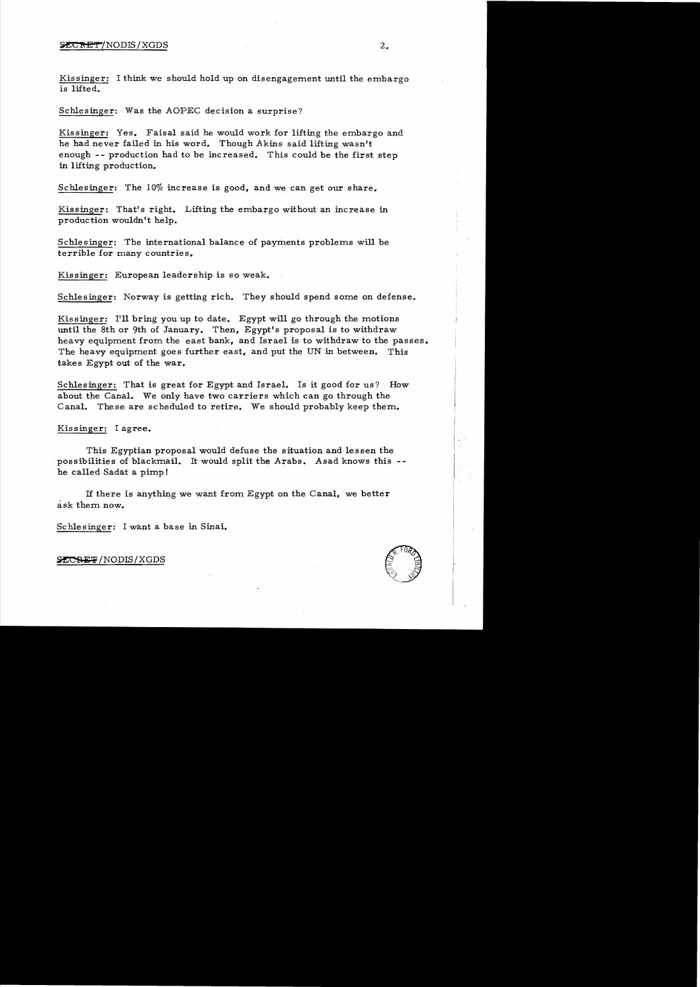#### $\text{SCERET/NODIS}/\text{XGDS}$  2.

Kissinger: I think we should hold up on disengagement until the embargo is lifted.

Schlesinger: Was the AOPEC decision a surprise?

Kissinger: Yes. Faisal said he would work for lifting the embargo and he had never failed in his word. Though Akins said lifting wasn't enough -- production had to be increased. This could be the first step in lifting production.

Schlesinger: The  $10\%$  increase is good, and we can get our share.

Kissinger: That's right. Lifting the embargo without an increase in production wouldn't help.

Schlesinger: The international balance of payments problems will be terrible for many countries.

Kissinger: European leadership is so weak.

Schlesinger: Norway is getting rich. They should spend some on defense.

Kissinger: I'll bring you up to date. Egypt will go through the motions until the 8th or 9th of January. Then, Egypt's proposal is to withdraw heavy equipment from the east bank, and Israel is to withdraw to the passes. The heavy equipment goes further east, and put the UN in between. This takes Egypt out of the war.

Schlesinger: That is great for Egypt and Israel. Is it good for us? How about the Canal. We only have two carriers which can go through the Canal. These are scheduled to retire. We should probably keep them.

Kissinger: I agree.

This Egyptian proposal would defuse the situation and lessen the possibilities of blackmail. It would split the Arabs. Asad knows this he called Sadat a pimp!

If there is anything we want from Egypt on the Canal, we better ask them now.

Schlesinger: I want a base in Sinai.



SECRET/NODIS/XGDS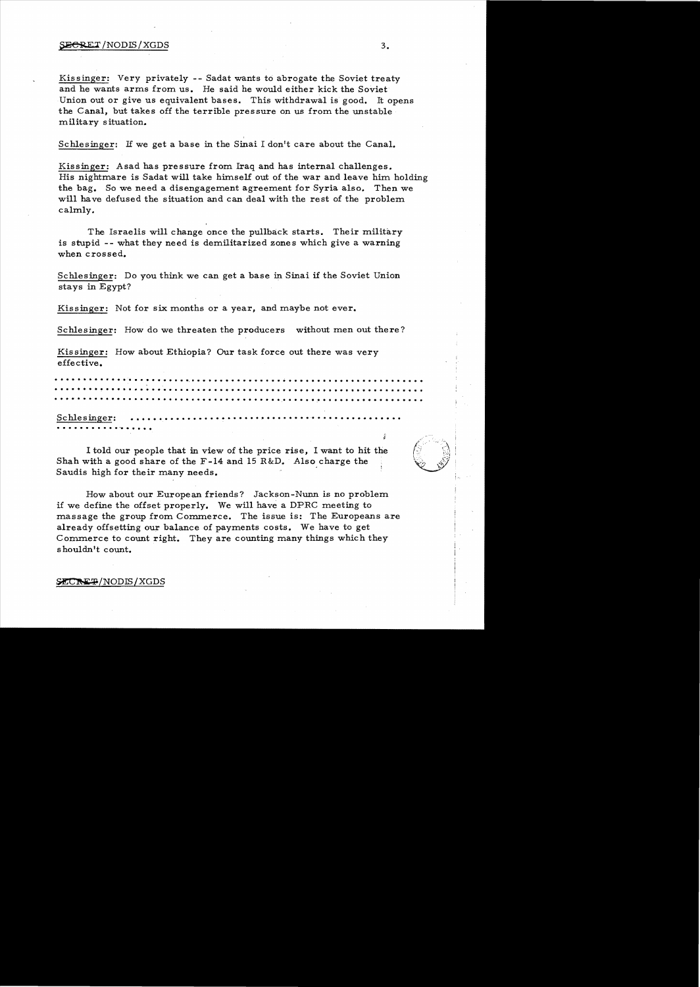#### $\frac{1}{2}$   $\frac{1}{2}$   $\frac{1}{2}$   $\frac{1}{2}$   $\frac{1}{2}$   $\frac{1}{2}$   $\frac{1}{2}$   $\frac{1}{2}$   $\frac{1}{2}$   $\frac{1}{2}$   $\frac{1}{2}$   $\frac{1}{2}$   $\frac{1}{2}$   $\frac{1}{2}$   $\frac{1}{2}$   $\frac{1}{2}$   $\frac{1}{2}$   $\frac{1}{2}$   $\frac{1}{2}$   $\frac{1}{2}$   $\frac{1}{2}$   $\frac{1}{2}$

Kis singer: Very privately - - Sadat wants to abrogate the Soviet treaty and he wants arms from us. He said he would either kick the Soviet Union out or give us equivalent bases. This withdrawal is good. It opens the Canal, but takes off the terrible pressure on us from the unstable military situation.

Schlesinger: H we get a base in the Sinai I don't care about the Canal.

Kissinger: Asad has pressure from Iraq and has internal challenges. His nightmare is Sadat will take himself out of the war and leave him holding the bag. So we need a disengagement agreement for Syria also. Then we will have defused the situation and can deal with the rest of the problem calmly.

The Israelis will change once the pullback starts. Their military is stupid -- what they need is demilitarized zones which give a warning when crossed.

Schlesinger: Do you think we can get a base in Sinai if the Soviet Union stays in Egypt?

Kissinger: Not for six months or a year, and maybe not ever.

Schlesinger: How do we threaten the producers without men out there?

Kissinger: How about Ethiopia? Our task force out there was very effective.

• •••••••••••• "w ••••••••• <sup>e</sup> .•••••••••••••••• ~ •••••••••••••••••••••••• ·... . . . . .. . . . . . . . . . . . . . . . . . . . . . ....... . .. . . . . . . . . .. . . . . . .. . . . . . . • ••••••••••••••••••••••••••••••••••••••• 0\* ••••• ~ ••••••••••••••••••

Schlesinger: ••••••••••••••••••••••• o••••••••• -a ••••••••••••••• • • • • • • • • • • **.·w • • • • •** 

I told our people that in view of the price rise, I want to hit the Shah with a good share of the  $F-14$  and 15 R&D. Also charge the Saudis high for their many needs. '

How about our European friends? Jackson-Nunn is no problem if we define the offset properly. We will have a DPRC meeting to massage the group from Commerce. The issue is: The Europeans are already offsetting our balance of payments costs. We have to get Commerce to count right. They are counting many things which they shouldn't count.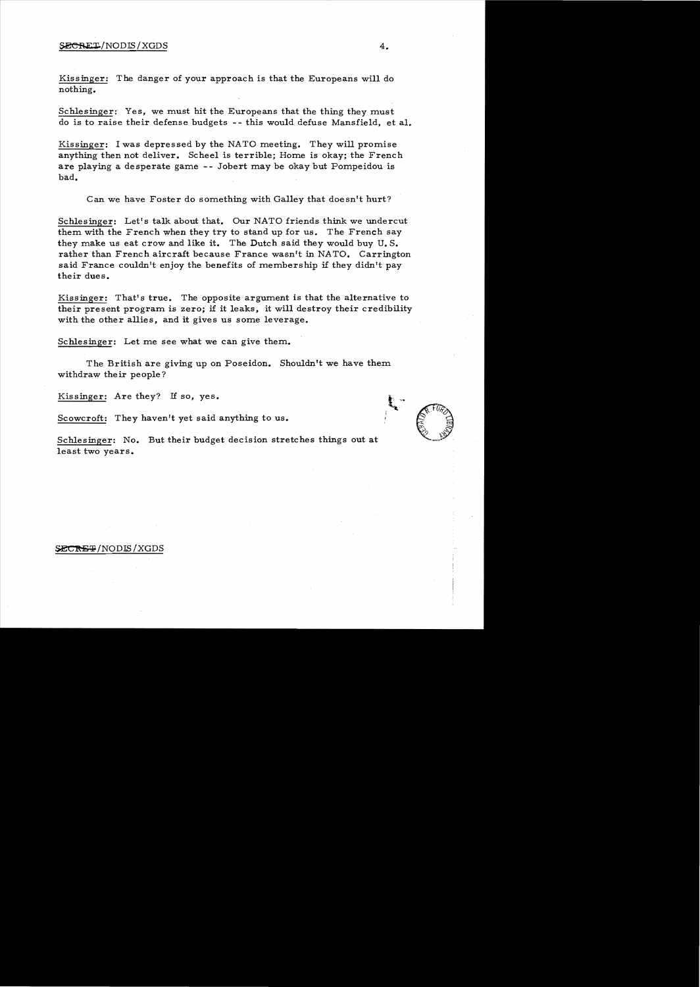#### $\texttt{SECRET} / \text{NODIS} / \text{XGDS}$  4.

Kissinger: The danger of your approach is that the Europeans will do nothing.

Schlesinger: Yes, we must hit the Europeans that the thing they must do is to raise their defense budgets - - this would defuse Mansfield, et al.

Kissinger: I was depressed by the NATO meeting. They will promise anything then not deliver. Scheel is terrible; Home is okay; the French are playing a desperate game - - Jobert may be okay but Pompeidou is bad.

Can we have Foster do something with Galley that doesn't hurt?

Schlesinger: Let's talk about that. Our NATO friends think we undercut them with the French when they try to stand up for us. The French say they make us eat crow and like it. The Dutch said they would buy U. S. rather than French aircraft because France wasn't in NATO. Carrington said France couldn't enjoy the benefits of membership if they didn't pay their dues.

Kissinger: That's true. The opposite argument is that the alternative to their present program is zero; if it leaks, it will destroy their credibility with the other allies, and it gives us some leverage.

Schlesinger: Let me see what we can give them.

The British are giving up on Poseidon. Shouldn't we have them withdraw their people?

Kissinger: Are they? If so, yes.

Scowcroft: They haven't yet said anything to us.

Schlesinger: No. But their budget decision stretches things out at least two years.

#### **\$ECREP/NODIS/XGDS**